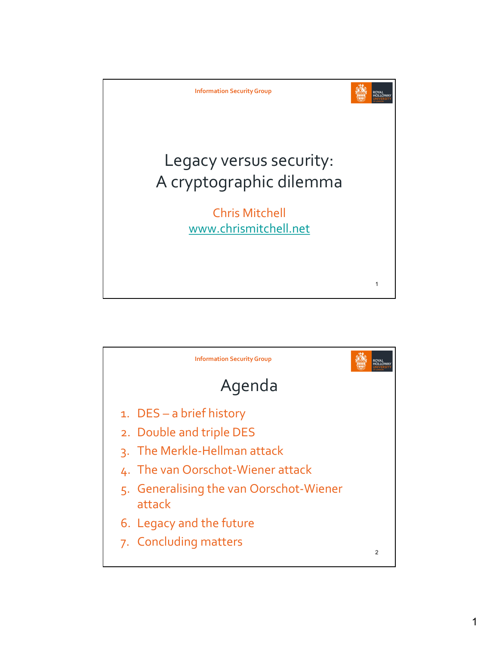

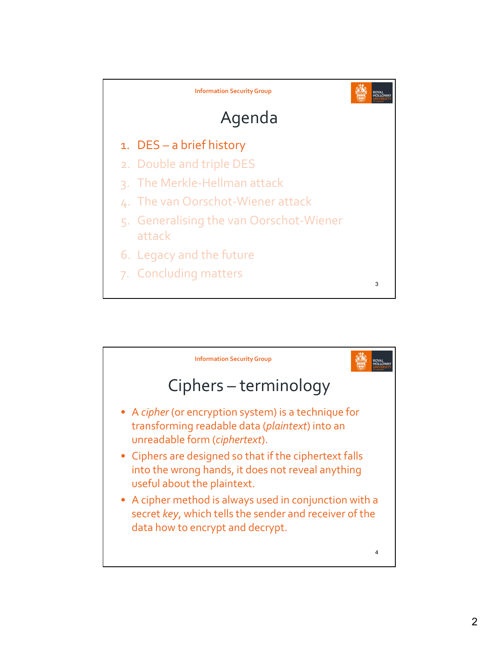

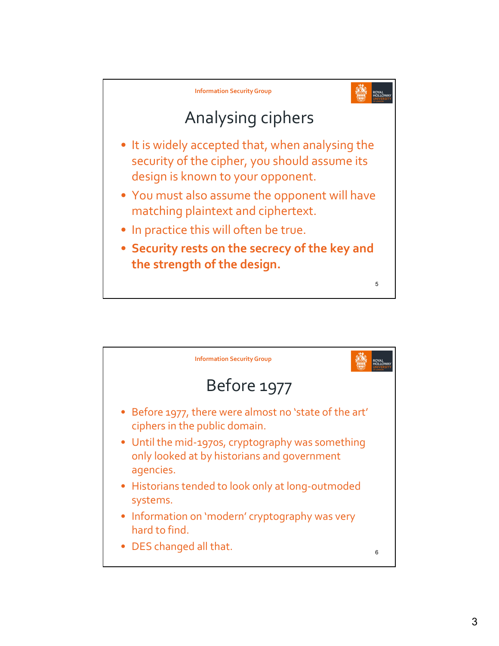

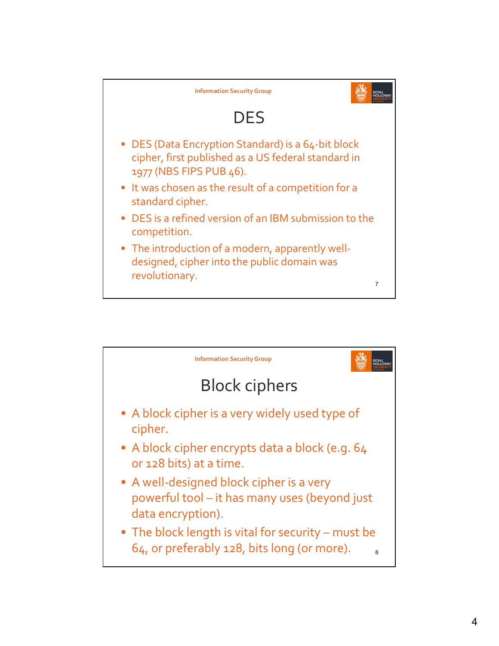

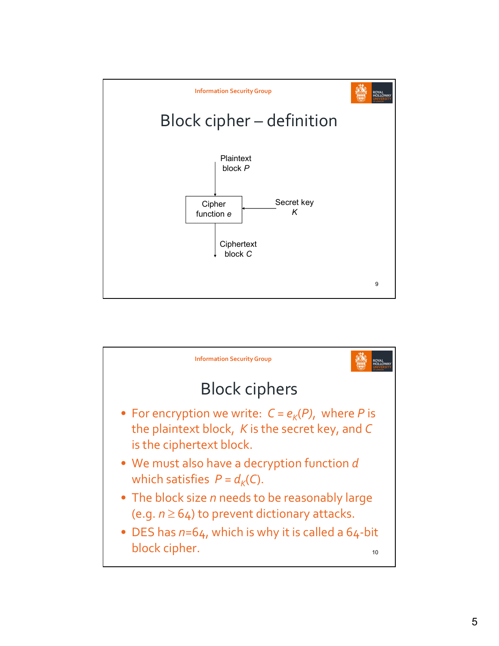

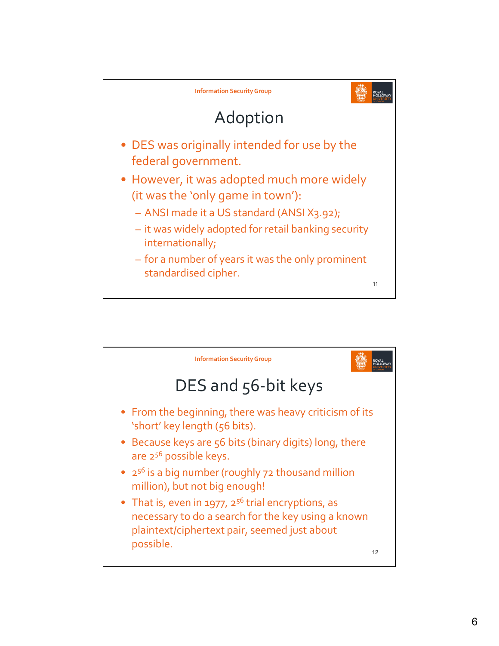

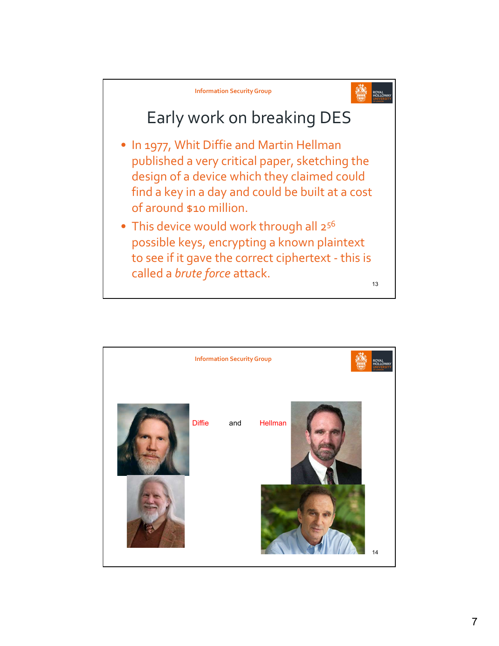

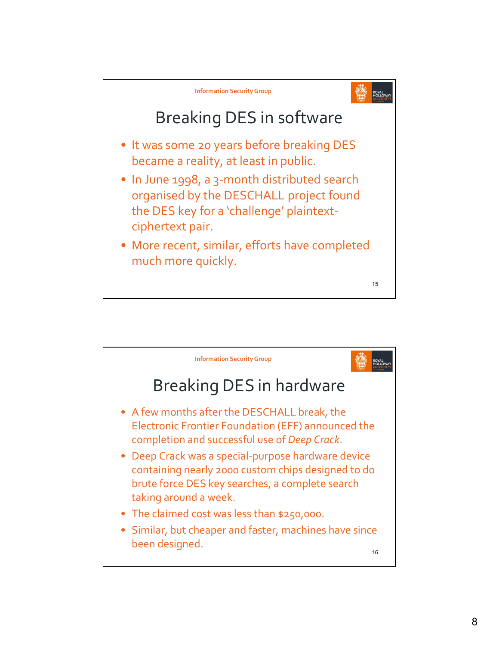

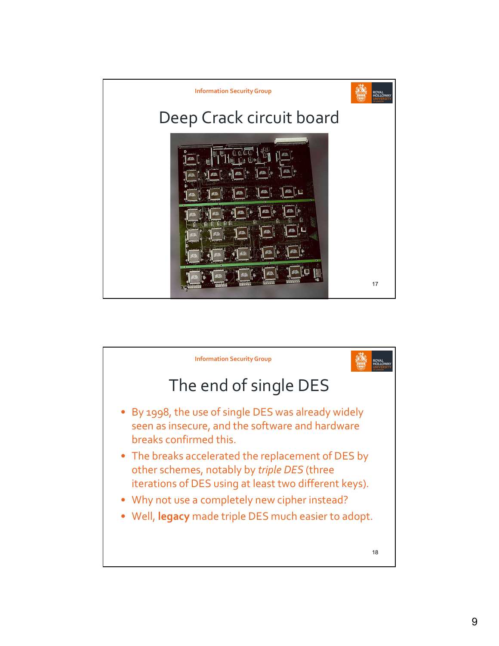

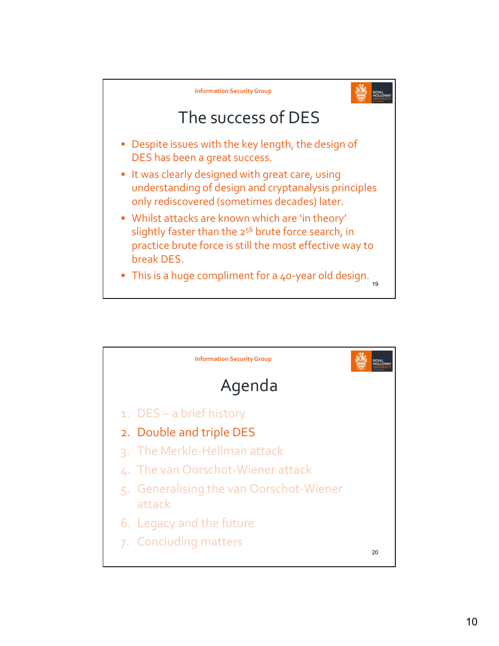

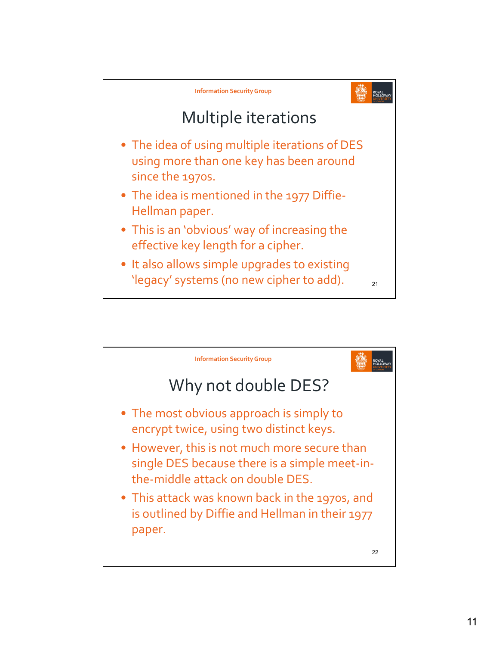

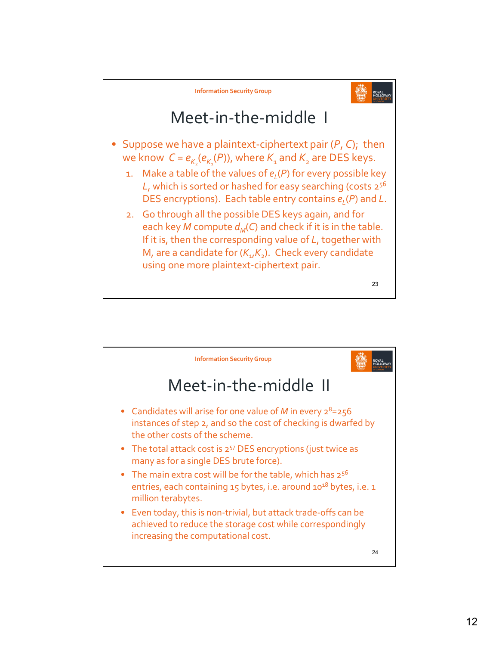

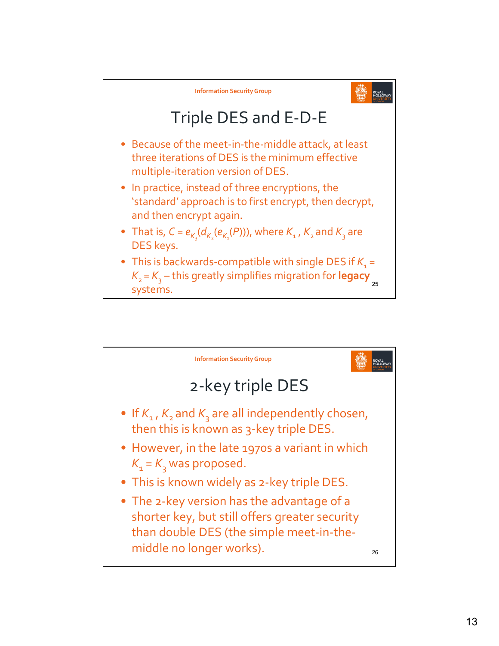

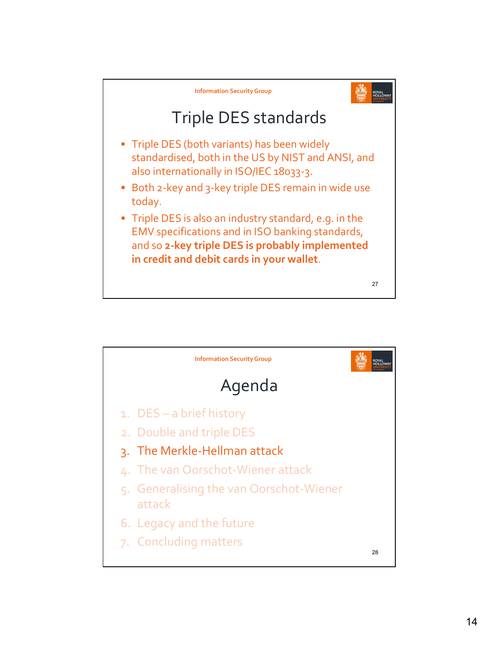

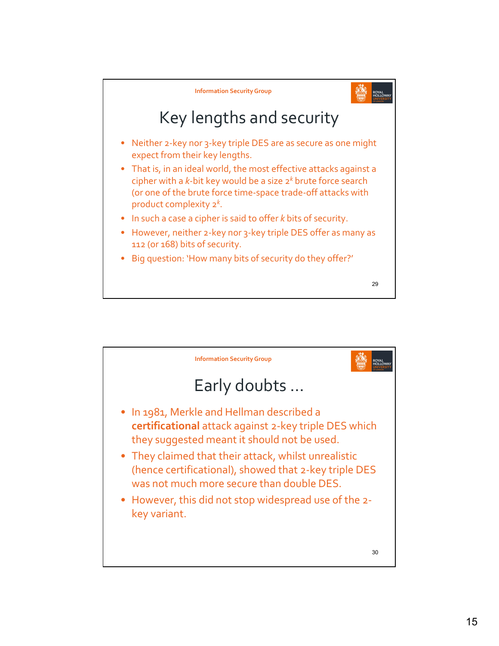

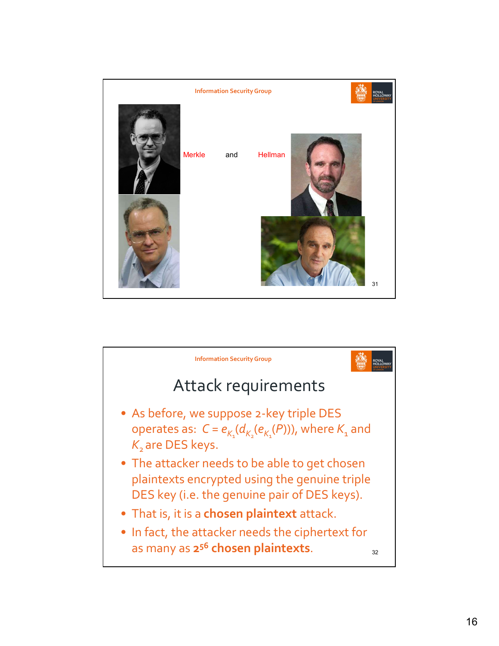

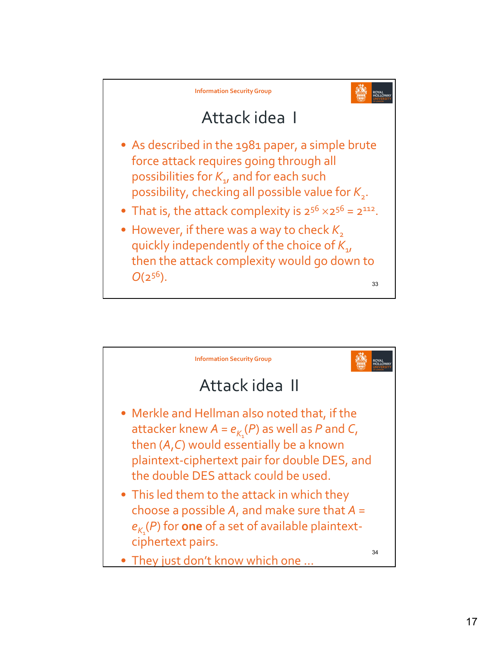

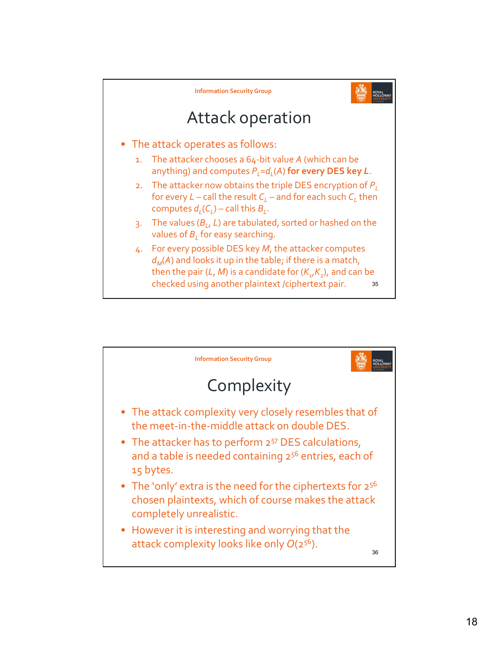

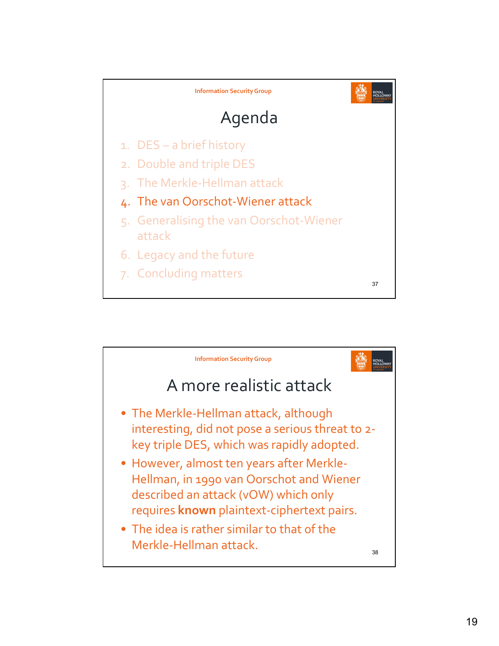

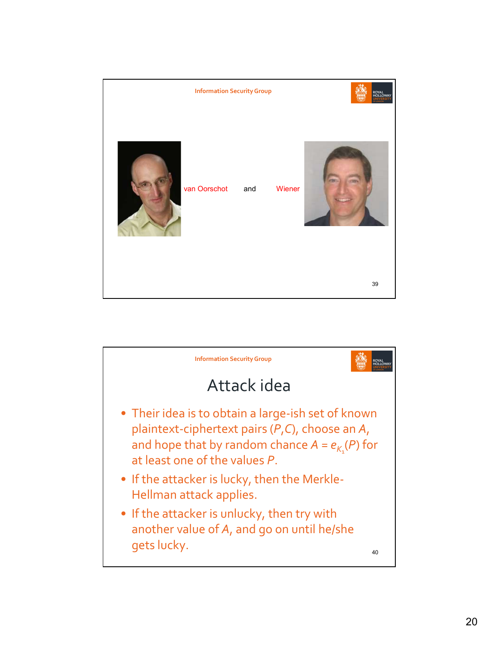

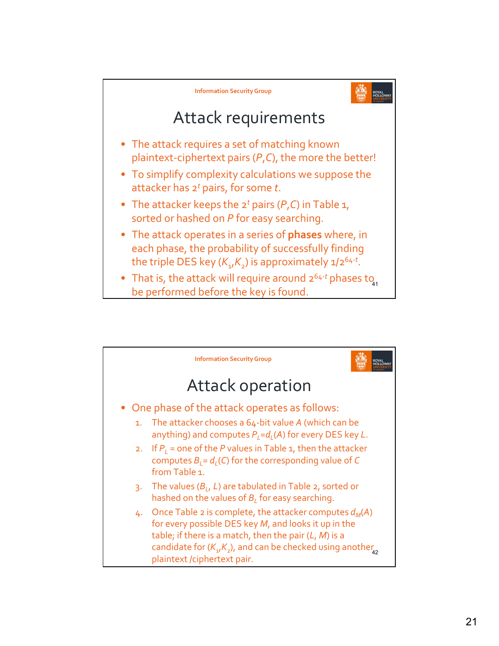

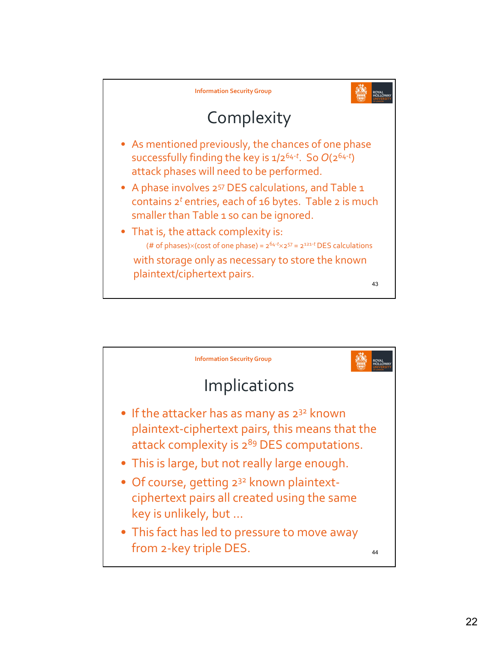

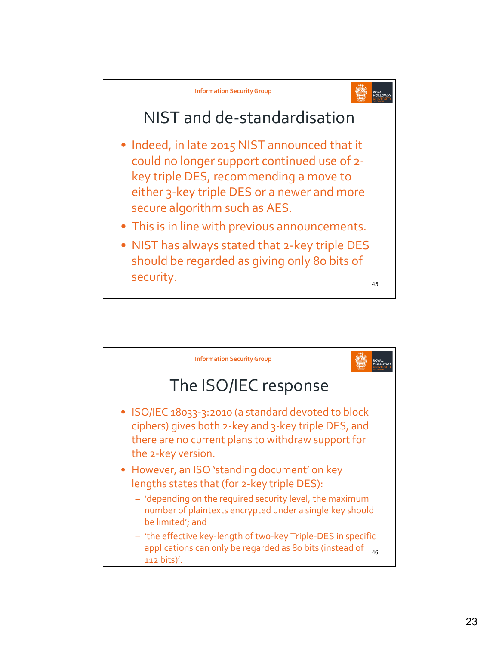

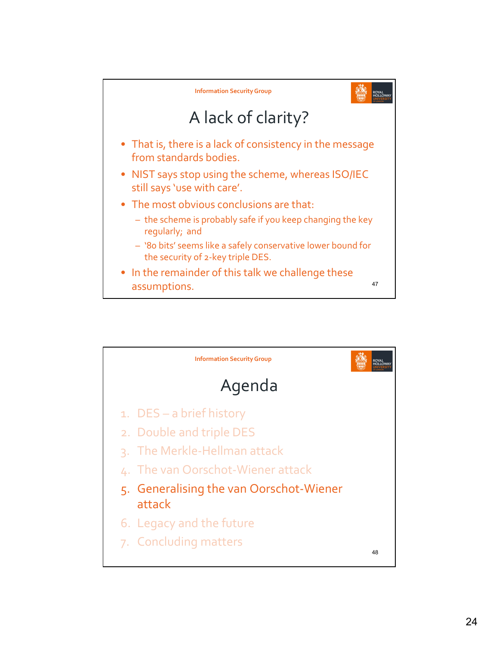

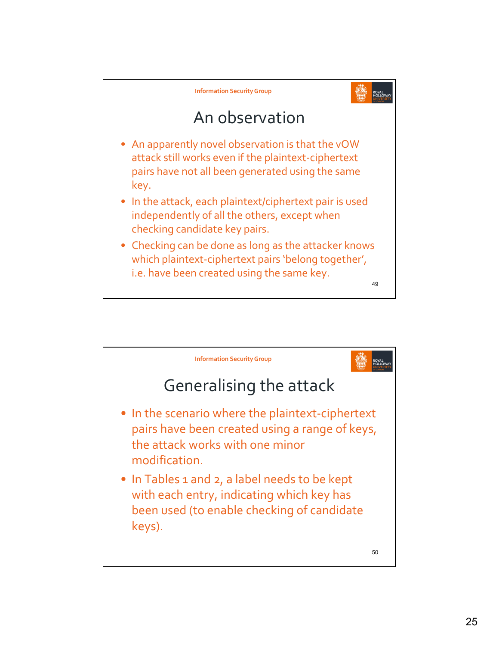

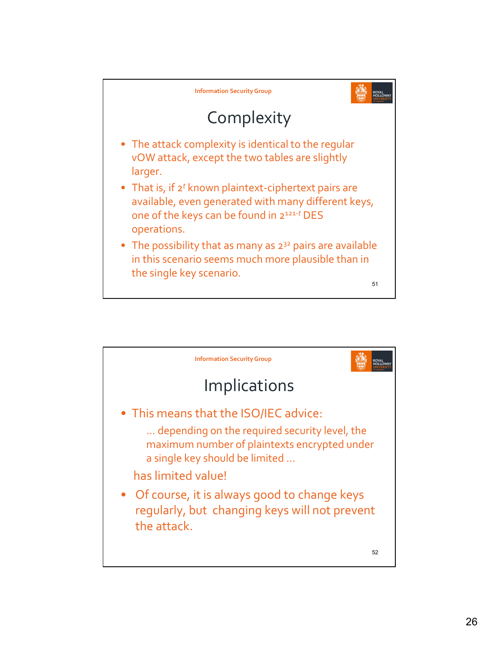

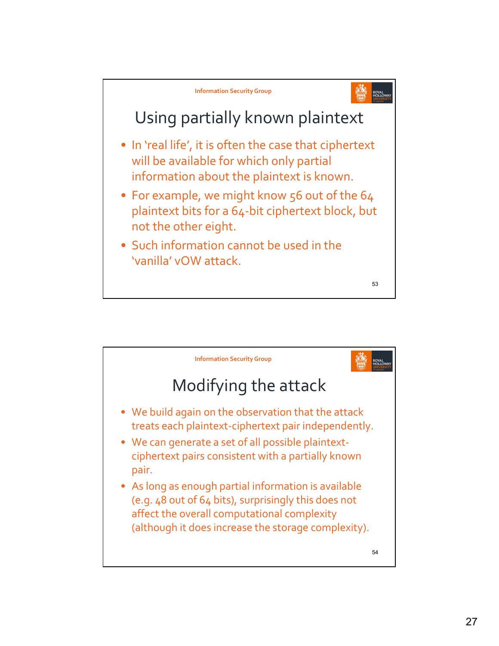

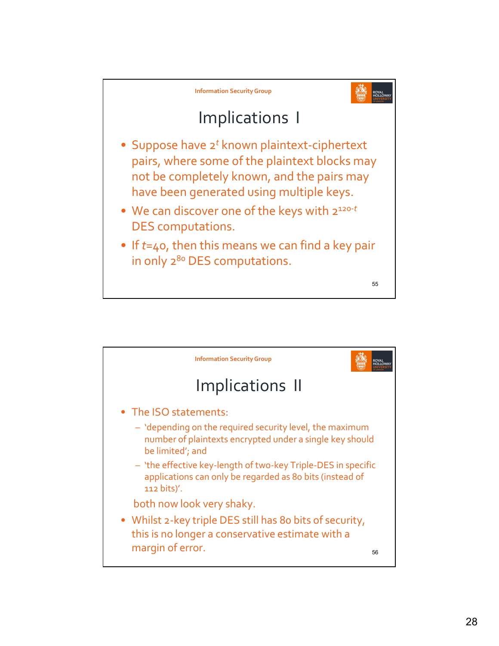

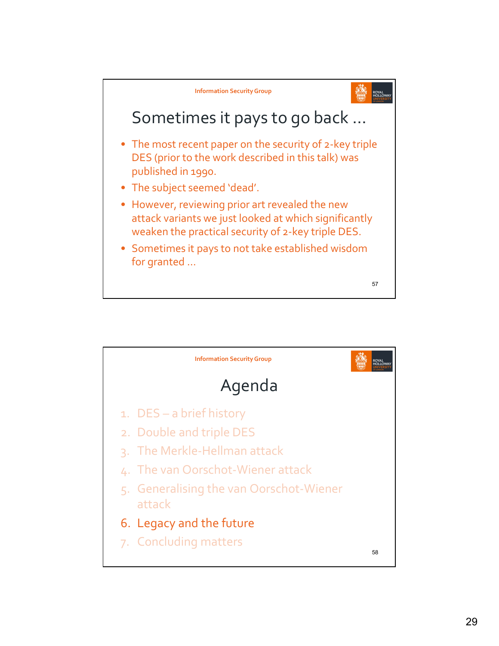

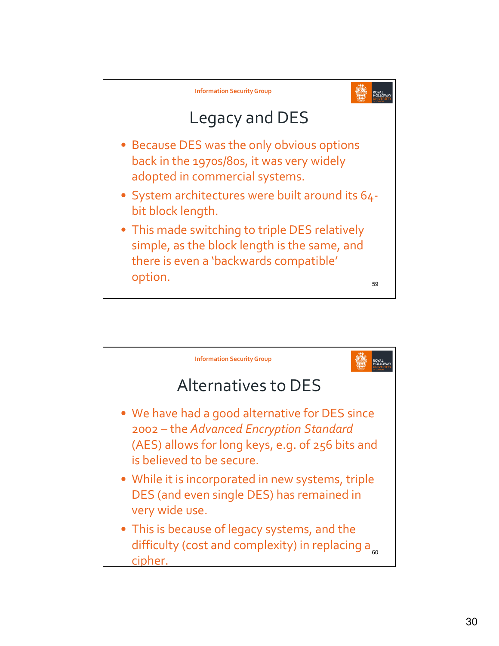

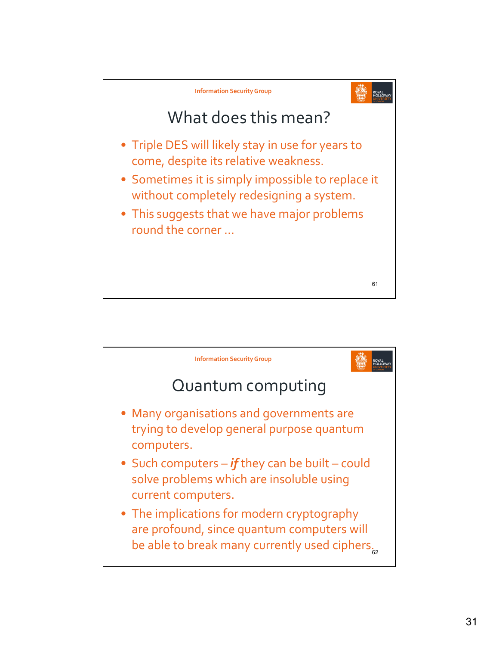

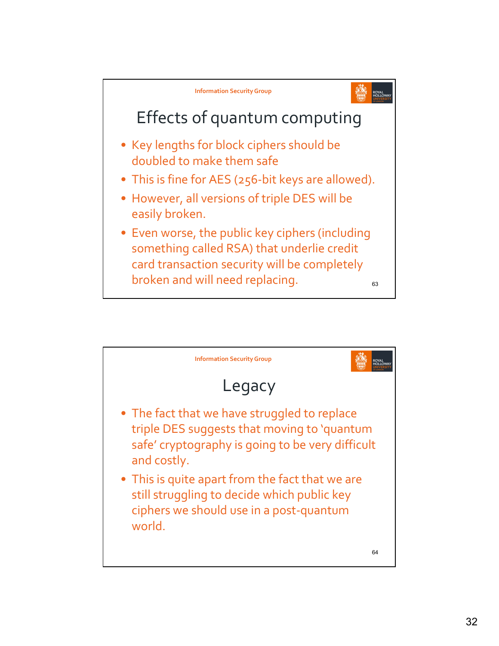

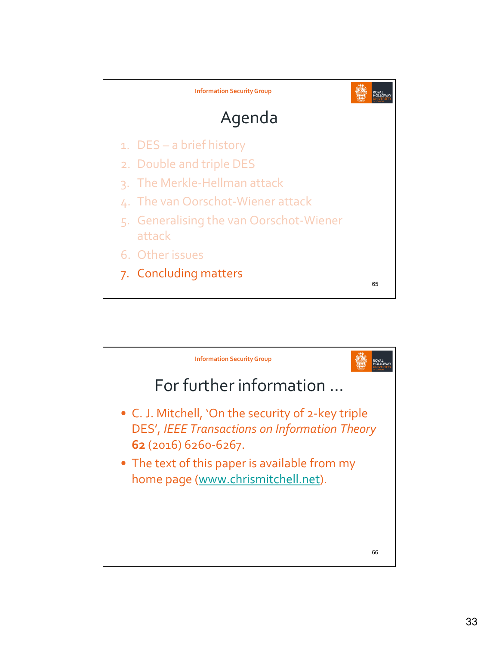